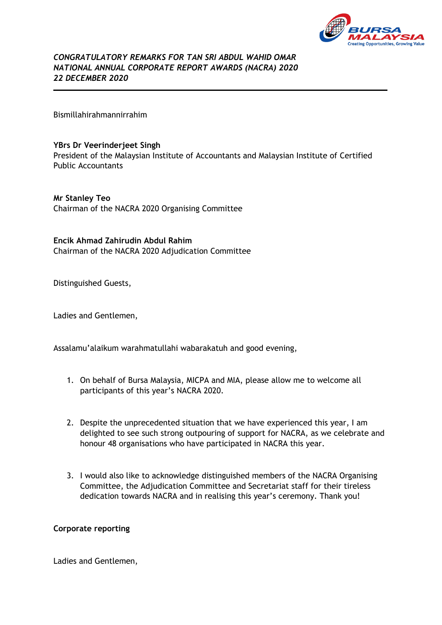

*CONGRATULATORY REMARKS FOR TAN SRI ABDUL WAHID OMAR NATIONAL ANNUAL CORPORATE REPORT AWARDS (NACRA) 2020 22 DECEMBER 2020* 

Bismillahirahmannirrahim

## **YBrs Dr Veerinderjeet Singh**

President of the Malaysian Institute of Accountants and Malaysian Institute of Certified Public Accountants

**Mr Stanley Teo** Chairman of the NACRA 2020 Organising Committee

## **Encik Ahmad Zahirudin Abdul Rahim**

Chairman of the NACRA 2020 Adjudication Committee

Distinguished Guests,

Ladies and Gentlemen,

Assalamu'alaikum warahmatullahi wabarakatuh and good evening,

- 1. On behalf of Bursa Malaysia, MICPA and MIA, please allow me to welcome all participants of this year's NACRA 2020.
- 2. Despite the unprecedented situation that we have experienced this year, I am delighted to see such strong outpouring of support for NACRA, as we celebrate and honour 48 organisations who have participated in NACRA this year.
- 3. I would also like to acknowledge distinguished members of the NACRA Organising Committee, the Adjudication Committee and Secretariat staff for their tireless dedication towards NACRA and in realising this year's ceremony. Thank you!

## **Corporate reporting**

Ladies and Gentlemen,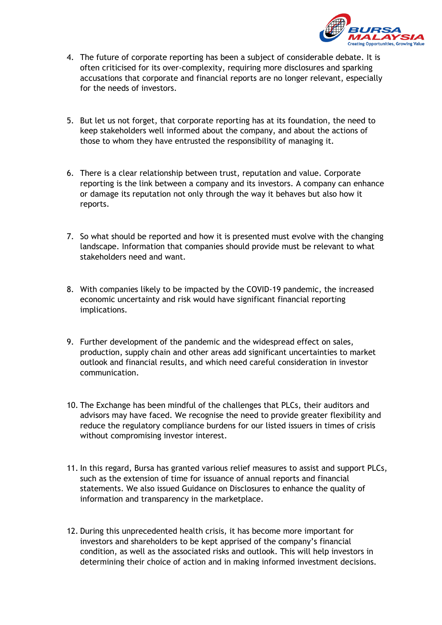

- 4. The future of corporate reporting has been a subject of considerable debate. It is often criticised for its over-complexity, requiring more disclosures and sparking accusations that corporate and financial reports are no longer relevant, especially for the needs of investors.
- 5. But let us not forget, that corporate reporting has at its foundation, the need to keep stakeholders well informed about the company, and about the actions of those to whom they have entrusted the responsibility of managing it.
- 6. There is a clear relationship between trust, reputation and value. Corporate reporting is the link between a company and its investors. A company can enhance or damage its reputation not only through the way it behaves but also how it reports.
- 7. So what should be reported and how it is presented must evolve with the changing landscape. Information that companies should provide must be relevant to what stakeholders need and want.
- 8. With companies likely to be impacted by the COVID-19 pandemic, the increased economic uncertainty and risk would have significant financial reporting implications.
- 9. Further development of the pandemic and the widespread effect on sales, production, supply chain and other areas add significant uncertainties to market outlook and financial results, and which need careful consideration in investor communication.
- 10. The Exchange has been mindful of the challenges that PLCs, their auditors and advisors may have faced. We recognise the need to provide greater flexibility and reduce the regulatory compliance burdens for our listed issuers in times of crisis without compromising investor interest.
- 11. In this regard, Bursa has granted various relief measures to assist and support PLCs, such as the extension of time for issuance of annual reports and financial statements. We also issued Guidance on Disclosures to enhance the quality of information and transparency in the marketplace.
- 12. During this unprecedented health crisis, it has become more important for investors and shareholders to be kept apprised of the company's financial condition, as well as the associated risks and outlook. This will help investors in determining their choice of action and in making informed investment decisions.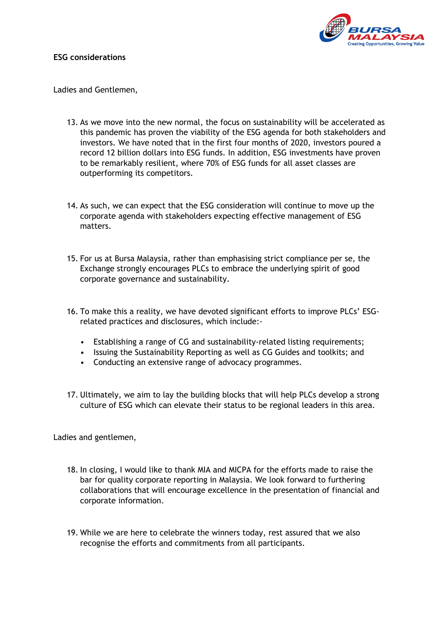

## **ESG considerations**

Ladies and Gentlemen,

- 13. As we move into the new normal, the focus on sustainability will be accelerated as this pandemic has proven the viability of the ESG agenda for both stakeholders and investors. We have noted that in the first four months of 2020, investors poured a record 12 billion dollars into ESG funds. In addition, ESG investments have proven to be remarkably resilient, where 70% of ESG funds for all asset classes are outperforming its competitors.
- 14. As such, we can expect that the ESG consideration will continue to move up the corporate agenda with stakeholders expecting effective management of ESG matters.
- 15. For us at Bursa Malaysia, rather than emphasising strict compliance per se, the Exchange strongly encourages PLCs to embrace the underlying spirit of good corporate governance and sustainability.
- 16. To make this a reality, we have devoted significant efforts to improve PLCs' ESGrelated practices and disclosures, which include:-
	- Establishing a range of CG and sustainability-related listing requirements;
	- Issuing the Sustainability Reporting as well as CG Guides and toolkits; and
	- Conducting an extensive range of advocacy programmes.
- 17. Ultimately, we aim to lay the building blocks that will help PLCs develop a strong culture of ESG which can elevate their status to be regional leaders in this area.

Ladies and gentlemen,

- 18. In closing, I would like to thank MIA and MICPA for the efforts made to raise the bar for quality corporate reporting in Malaysia. We look forward to furthering collaborations that will encourage excellence in the presentation of financial and corporate information.
- 19. While we are here to celebrate the winners today, rest assured that we also recognise the efforts and commitments from all participants.